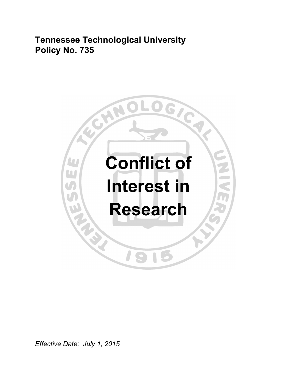**Tennessee Technological University Policy No. 735** 



*Effective Date: July 1, 2015*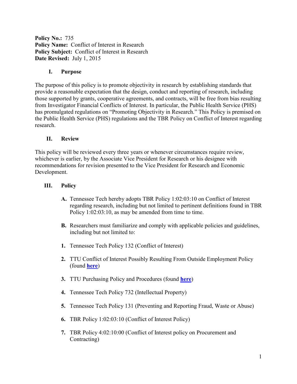**Policy No.:** 735 **Policy Name:** Conflict of Interest in Research Policy Subject: Conflict of Interest in Research **Date Revised:** July 1, 2015

### **I. Purpose**

The purpose of this policy is to promote objectivity in research by establishing standards that provide a reasonable expectation that the design, conduct and reporting of research, including those supported by grants, cooperative agreements, and contracts, will be free from bias resulting from Investigator Financial Conflicts of Interest. In particular, the Public Health Service (PHS) has promulgated regulations on "Promoting Objectivity in Research." This Policy is premised on the Public Health Service (PHS) regulations and the TBR Policy on Conflict of Interest regarding research.

#### **II. Review**

This policy will be reviewed every three years or whenever circumstances require review, whichever is earlier, by the Associate Vice President for Research or his designee with recommendations for revision presented to the Vice President for Research and Economic Development.

#### **III. Policy**

- **A.** Tennessee Tech hereby adopts TBR Policy 1:02:03:10 on Conflict of Interest regarding research, including but not limited to pertinent definitions found in TBR Policy 1:02:03:10, as may be amended from time to time.
- **B.** Researchers must familiarize and comply with applicable policies and guidelines, including but not limited to:
- **1.** Tennessee Tech Policy 132 (Conflict of Interest)
- **2.** TTU Conflict of Interest Possibly Resulting From Outside Employment Policy (found **[here](https://www.tntech.edu/files/adminpandp/Human_Resource_Services/Human_Resources_Policies__Procedures_Rev_F_12_02_11.pdf)**)
- **3.** TTU Purchasing Policy and Procedures (found **[here](https://www.tntech.edu/planning-and-finance/purchasing/procurementmanual)**)
- **4.** Tennessee Tech Policy 732 (Intellectual Property)
- **5.** Tennessee Tech Policy 131 (Preventing and Reporting Fraud, Waste or Abuse)
- **6.** TBR Policy 1:02:03:10 (Conflict of Interest Policy)
- **7.** TBR Policy 4:02:10:00 (Conflict of Interest policy on Procurement and Contracting)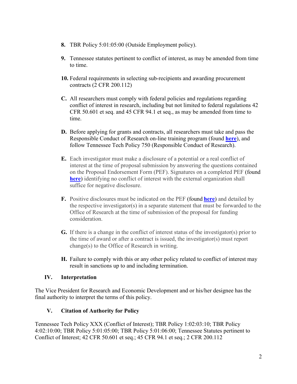- **8.** TBR Policy 5:01:05:00 (Outside Employment policy).
- **9.** Tennessee statutes pertinent to conflict of interest, as may be amended from time to time.
- **10.** Federal requirements in selecting sub-recipients and awarding procurement contracts (2 CFR 200.112)
- **C.** All researchers must comply with federal policies and regulations regarding conflict of interest in research, including but not limited to federal regulations 42 CFR 50.601 et seq. and 45 CFR 94.1 et seq., as may be amended from time to time.
- **D.** Before applying for grants and contracts, all researchers must take and pass the Responsible Conduct of Research on-line training program (found **[here](http://ori.hhs.gov/education/products/montana_round1/research_ethics.html)**), and follow Tennessee Tech Policy 750 (Responsible Conduct of Research).
- **E.** Each investigator must make a disclosure of a potential or a real conflict of interest at the time of proposal submission by answering the questions contained on the Proposal Endorsement Form (PEF). Signatures on a completed PEF (found **[here](https://www.tntech.edu/assets/userfiles/resourcefiles/12344/1427814018_PEF2015_3_31_2015.pdf)**) identifying no conflict of interest with the external organization shall suffice for negative disclosure.
- **F.** Positive disclosures must be indicated on the PEF (found **[here](https://www.tntech.edu/assets/userfiles/resourcefiles/12344/1427814018_PEF2015_3_31_2015.pdf)**) and detailed by the respective investigator(s) in a separate statement that must be forwarded to the Office of Research at the time of submission of the proposal for funding consideration.
- **G.** If there is a change in the conflict of interest status of the investigator(s) prior to the time of award or after a contract is issued, the investigator(s) must report change(s) to the Office of Research in writing.
- **H.** Failure to comply with this or any other policy related to conflict of interest may result in sanctions up to and including termination.

## **IV. Interpretation**

The Vice President for Research and Economic Development and or his/her designee has the final authority to interpret the terms of this policy.

## **V. Citation of Authority for Policy**

Tennessee Tech Policy XXX (Conflict of Interest); TBR Policy 1:02:03:10; TBR Policy 4:02:10:00; TBR Policy 5:01:05:00; TBR Policy 5:01:06:00; Tennessee Statutes pertinent to Conflict of Interest; 42 CFR 50.601 et seq.; 45 CFR 94.1 et seq.; 2 CFR 200.112